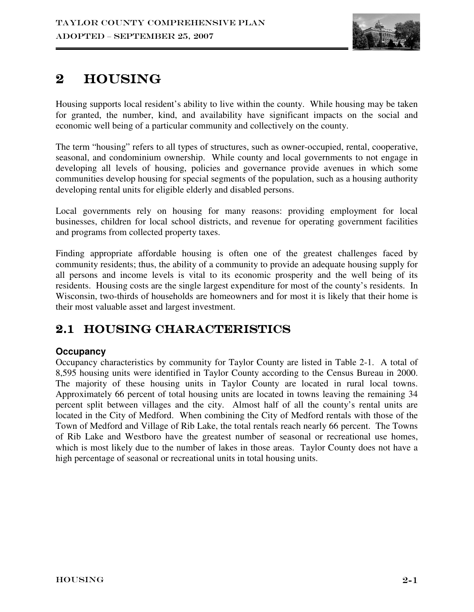

# 2 Housing

Housing supports local resident's ability to live within the county. While housing may be taken for granted, the number, kind, and availability have significant impacts on the social and economic well being of a particular community and collectively on the county.

The term "housing" refers to all types of structures, such as owner-occupied, rental, cooperative, seasonal, and condominium ownership. While county and local governments to not engage in developing all levels of housing, policies and governance provide avenues in which some communities develop housing for special segments of the population, such as a housing authority developing rental units for eligible elderly and disabled persons.

Local governments rely on housing for many reasons: providing employment for local businesses, children for local school districts, and revenue for operating government facilities and programs from collected property taxes.

Finding appropriate affordable housing is often one of the greatest challenges faced by community residents; thus, the ability of a community to provide an adequate housing supply for all persons and income levels is vital to its economic prosperity and the well being of its residents. Housing costs are the single largest expenditure for most of the county's residents. In Wisconsin, two-thirds of households are homeowners and for most it is likely that their home is their most valuable asset and largest investment.

# 2.1 HOUSING CHARACTERISTICS

# **Occupancy**

Occupancy characteristics by community for Taylor County are listed in Table 2-1. A total of 8,595 housing units were identified in Taylor County according to the Census Bureau in 2000. The majority of these housing units in Taylor County are located in rural local towns. Approximately 66 percent of total housing units are located in towns leaving the remaining 34 percent split between villages and the city. Almost half of all the county's rental units are located in the City of Medford. When combining the City of Medford rentals with those of the Town of Medford and Village of Rib Lake, the total rentals reach nearly 66 percent. The Towns of Rib Lake and Westboro have the greatest number of seasonal or recreational use homes, which is most likely due to the number of lakes in those areas. Taylor County does not have a high percentage of seasonal or recreational units in total housing units.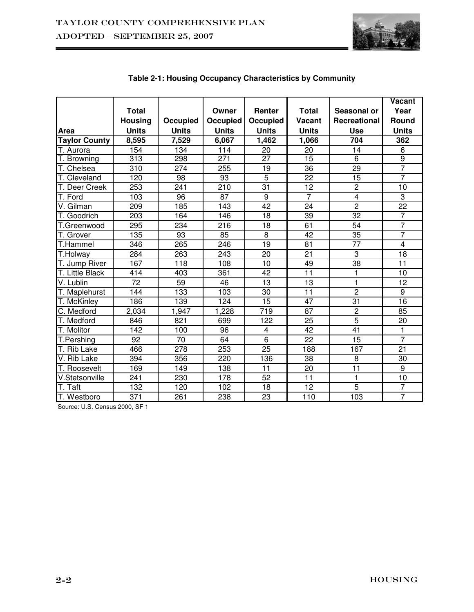

|                                |                 |                  |              |                 |                 |                         | Vacant          |
|--------------------------------|-----------------|------------------|--------------|-----------------|-----------------|-------------------------|-----------------|
|                                | <b>Total</b>    |                  | Owner        | Renter          | <b>Total</b>    | Seasonal or             | Year            |
|                                | <b>Housing</b>  | Occupied         | Occupied     | Occupied        | Vacant          | Recreational            | Round           |
| <b>Area</b>                    | <b>Units</b>    | <b>Units</b>     | <b>Units</b> | <b>Units</b>    | <b>Units</b>    | <b>Use</b>              | <b>Units</b>    |
| <b>Taylor County</b>           | 8,595           | 7,529            | 6,067        | 1,462           | 1,066           | 704                     | 362             |
| T. Aurora                      | 154             | 134              | 114          | 20              | 20              | 14                      | 6               |
| T. Browning                    | 313             | 298              | 271          | $\overline{27}$ | $\overline{15}$ | $\overline{6}$          | ढ़              |
| T. Chelsea                     | 310             | 274              | 255          | 19              | $\overline{36}$ | 29                      | 7               |
| T. Cleveland                   | 120             | $\overline{98}$  | 93           | $\overline{5}$  | $\overline{22}$ | $\overline{15}$         | 7               |
| T. Deer Creek                  | 253             | 241              | 210          | 31              | 12              | $\overline{2}$          | 10              |
| T. Ford                        | 103             | 96               | 87           | $\overline{9}$  | $\overline{7}$  | $\overline{\mathbf{4}}$ | 3               |
| V. Gilman                      | 209             | 185              | 143          | 42              | 24              | $\overline{2}$          | 22              |
| T. Goodrich                    | 203             | 164              | 146          | 18              | 39              | 32                      | $\overline{7}$  |
| T.Greenwood                    | 295             | 234              | 216          | 18              | 61              | $\overline{54}$         | $\overline{7}$  |
| T. Grover                      | 135             | 93               | 85           | $\overline{8}$  | $\overline{42}$ | $\overline{35}$         | $\overline{7}$  |
| T.Hammel                       | 346             | 265              | 246          | 19              | 81              | 77                      | $\overline{4}$  |
| T.Holway                       | 284             | 263              | 243          | 20              | 21              | $\overline{3}$          | 18              |
| T. Jump River                  | 167             | 118              | 108          | 10              | 49              | $\overline{38}$         | 11              |
| T. Little Black                | 414             | 403              | 361          | 42              | 11              | 1                       | 10              |
| V. Lublin                      | $\overline{72}$ | $\overline{59}$  | 46           | $\overline{13}$ | $\overline{13}$ | 1                       | $\overline{12}$ |
| T. Maplehurst                  | 144             | 133              | 103          | $\overline{30}$ | $\overline{11}$ | $\overline{2}$          | $\overline{9}$  |
| T. McKinley                    | 186             | 139              | 124          | 15              | 47              | 31                      | 16              |
| C. Medford                     | 2,034           | 1,947            | 1,228        | 719             | 87              | $\overline{2}$          | 85              |
| T. Medford                     | 846             | 821              | 699          | 122             | 25              | $\overline{5}$          | 20              |
| T. Molitor                     | 142             | 100              | 96           | $\overline{4}$  | 42              | 41                      | 1               |
| T.Pershing                     | $\overline{92}$ | 70               | 64           | $\overline{6}$  | $\overline{22}$ | 15                      | 7               |
| T. Rib Lake                    | 466             | $\overline{278}$ | 253          | $\overline{25}$ | 188             | 167                     | $\overline{21}$ |
| V. Rib Lake                    | 394             | 356              | 220          | 136             | 38              | $\overline{8}$          | 30              |
| T. Roosevelt                   | 169             | 149              | 138          | 11              | 20              | $\overline{11}$         | $\overline{9}$  |
| V.Stetsonville                 | 241             | 230              | 178          | 52              | 11              | $\mathbf{1}$            | 10              |
| $\overline{\mathsf{T}}$ . Taft | 132             | 120              | 102          | 18              | 12              | $\overline{5}$          | $\overline{7}$  |
| T. Westboro                    | 371             | 261              | 238          | 23              | 110             | 103                     | $\overline{7}$  |

# **Table 2-1: Housing Occupancy Characteristics by Community**

Source: U.S. Census 2000, SF 1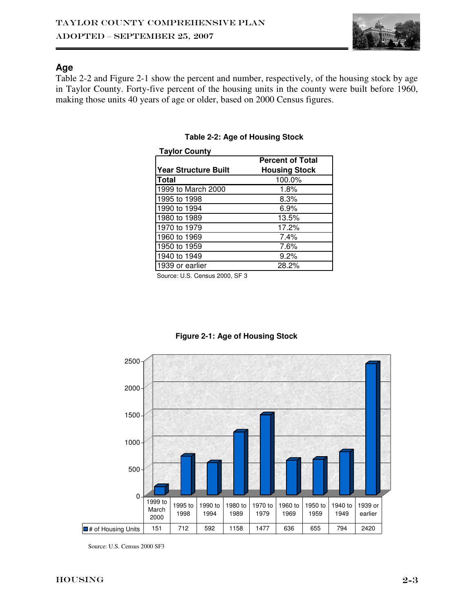

### **Age**

Table 2-2 and Figure 2-1 show the percent and number, respectively, of the housing stock by age in Taylor County. Forty-five percent of the housing units in the county were built before 1960, making those units 40 years of age or older, based on 2000 Census figures.

| <b>Taylor County</b> |                         |
|----------------------|-------------------------|
|                      | <b>Percent of Total</b> |
| Year Structure Built | <b>Housing Stock</b>    |
| Total                | 100.0%                  |
| 1999 to March 2000   | 1.8%                    |
| 1995 to 1998         | 8.3%                    |
| 1990 to 1994         | 6.9%                    |
| 1980 to 1989         | 13.5%                   |
| 1970 to 1979         | 17.2%                   |
| 1960 to 1969         | 7.4%                    |
| 1950 to 1959         | 7.6%                    |
| 1940 to 1949         | 9.2%                    |
| 1939 or earlier      | 28.2%                   |

#### **Table 2-2: Age of Housing Stock**

Source: U.S. Census 2000, SF 3



#### **Figure 2-1: Age of Housing Stock**

Source: U.S. Census 2000 SF3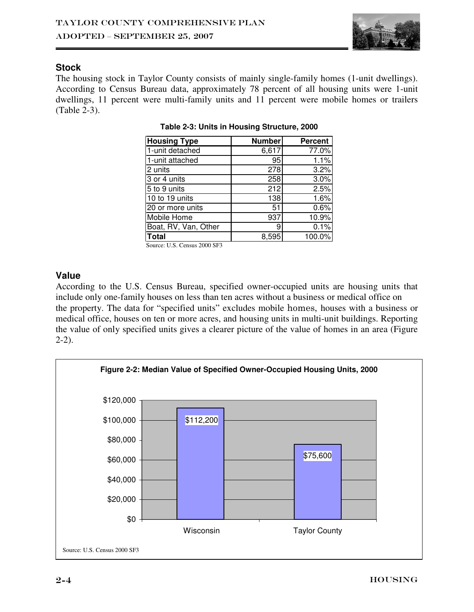

### **Stock**

The housing stock in Taylor County consists of mainly single-family homes (1-unit dwellings). According to Census Bureau data, approximately 78 percent of all housing units were 1-unit dwellings, 11 percent were multi-family units and 11 percent were mobile homes or trailers (Table 2-3).

| <b>Housing Type</b>  | <b>Number</b> | <b>Percent</b> |
|----------------------|---------------|----------------|
| 1-unit detached      | 6,617         | 77.0%          |
| 1-unit attached      | 95            | 1.1%           |
| 2 units              | 278           | 3.2%           |
| 3 or 4 units         | 258           | 3.0%           |
| 5 to 9 units         | 212           | 2.5%           |
| 10 to 19 units       | 138           | 1.6%           |
| 20 or more units     | 51            | 0.6%           |
| Mobile Home          | 937           | 10.9%          |
| Boat, RV, Van, Other | 9             | 0.1%           |
| Total                | 8.595         | 100.0%         |

|  |  | Table 2-3: Units in Housing Structure, 2000 |  |
|--|--|---------------------------------------------|--|
|  |  |                                             |  |

Source: U.S. Census 2000 SF3

# **Value**

According to the U.S. Census Bureau, specified owner-occupied units are housing units that include only one-family houses on less than ten acres without a business or medical office on the property. The data for "specified units" excludes mobile homes, houses with a business or medical office, houses on ten or more acres, and housing units in multi-unit buildings. Reporting the value of only specified units gives a clearer picture of the value of homes in an area (Figure 2-2).

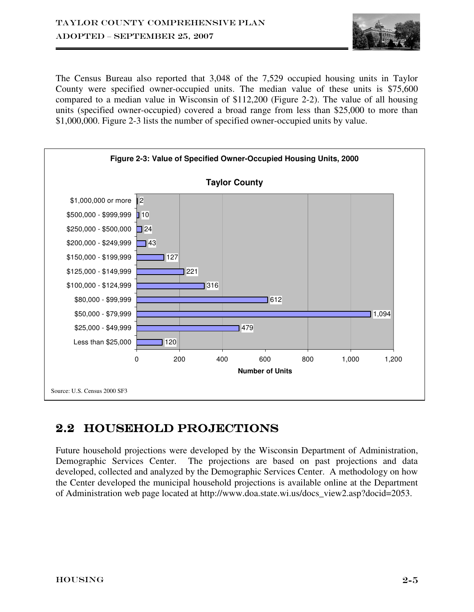

The Census Bureau also reported that 3,048 of the 7,529 occupied housing units in Taylor County were specified owner-occupied units. The median value of these units is \$75,600 compared to a median value in Wisconsin of \$112,200 (Figure 2-2). The value of all housing units (specified owner-occupied) covered a broad range from less than \$25,000 to more than \$1,000,000. Figure 2-3 lists the number of specified owner-occupied units by value.



# 2.2 HOUSEHOLD PROJECTIONS

Future household projections were developed by the Wisconsin Department of Administration, Demographic Services Center. The projections are based on past projections and data developed, collected and analyzed by the Demographic Services Center. A methodology on how the Center developed the municipal household projections is available online at the Department of Administration web page located at http://www.doa.state.wi.us/docs\_view2.asp?docid=2053.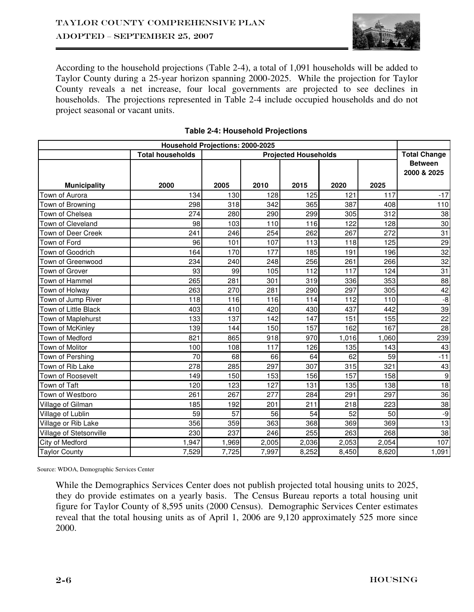

According to the household projections (Table 2-4), a total of 1,091 households will be added to Taylor County during a 25-year horizon spanning 2000-2025. While the projection for Taylor County reveals a net increase, four local governments are projected to see declines in households. The projections represented in Table 2-4 include occupied households and do not project seasonal or vacant units.

| <b>Household Projections: 2000-2025</b> |                                                        |       |       |       |       |                     |                               |  |  |
|-----------------------------------------|--------------------------------------------------------|-------|-------|-------|-------|---------------------|-------------------------------|--|--|
|                                         | <b>Total households</b><br><b>Projected Households</b> |       |       |       |       | <b>Total Change</b> |                               |  |  |
|                                         |                                                        |       |       |       |       |                     | <b>Between</b><br>2000 & 2025 |  |  |
| <b>Municipality</b>                     | 2000                                                   | 2005  | 2010  | 2015  | 2020  | 2025                |                               |  |  |
| Town of Aurora                          | 134                                                    | 130   | 128   | 125   | 121   | 117                 | $-17$                         |  |  |
| Town of Browning                        | 298                                                    | 318   | 342   | 365   | 387   | 408                 | 110                           |  |  |
| Town of Chelsea                         | 274                                                    | 280   | 290   | 299   | 305   | 312                 | 38                            |  |  |
| Town of Cleveland                       | 98                                                     | 103   | 110   | 116   | 122   | 128                 | 30                            |  |  |
| Town of Deer Creek                      | 241                                                    | 246   | 254   | 262   | 267   | 272                 | 31                            |  |  |
| Town of Ford                            | 96                                                     | 101   | 107   | 113   | 118   | 125                 | 29                            |  |  |
| Town of Goodrich                        | 164                                                    | 170   | 177   | 185   | 191   | 196                 | 32                            |  |  |
| Town of Greenwood                       | 234                                                    | 240   | 248   | 256   | 261   | 266                 | 32                            |  |  |
| Town of Grover                          | 93                                                     | 99    | 105   | 112   | 117   | 124                 | 31                            |  |  |
| Town of Hammel                          | 265                                                    | 281   | 301   | 319   | 336   | 353                 | 88                            |  |  |
| Town of Holway                          | 263                                                    | 270   | 281   | 290   | 297   | 305                 | 42                            |  |  |
| Town of Jump River                      | 118                                                    | 116   | 116   | 114   | 112   | 110                 | $-8$                          |  |  |
| Town of Little Black                    | 403                                                    | 410   | 420   | 430   | 437   | 442                 | 39                            |  |  |
| Town of Maplehurst                      | 133                                                    | 137   | 142   | 147   | 151   | 155                 | 22                            |  |  |
| Town of McKinley                        | 139                                                    | 144   | 150   | 157   | 162   | 167                 | 28                            |  |  |
| Town of Medford                         | 821                                                    | 865   | 918   | 970   | 1,016 | 1,060               | 239                           |  |  |
| Town of Molitor                         | 100                                                    | 108   | 117   | 126   | 135   | 143                 | 43                            |  |  |
| Town of Pershing                        | 70                                                     | 68    | 66    | 64    | 62    | 59                  | $-11$                         |  |  |
| Town of Rib Lake                        | 278                                                    | 285   | 297   | 307   | 315   | 321                 | 43                            |  |  |
| Town of Roosevelt                       | 149                                                    | 150   | 153   | 156   | 157   | 158                 | $\boldsymbol{9}$              |  |  |
| Town of Taft                            | 120                                                    | 123   | 127   | 131   | 135   | 138                 | 18                            |  |  |
| Town of Westboro                        | 261                                                    | 267   | 277   | 284   | 291   | 297                 | 36                            |  |  |
| Village of Gilman                       | 185                                                    | 192   | 201   | 211   | 218   | 223                 | 38                            |  |  |
| Village of Lublin                       | 59                                                     | 57    | 56    | 54    | 52    | 50                  | -9                            |  |  |
| Village or Rib Lake                     | 356                                                    | 359   | 363   | 368   | 369   | 369                 | 13                            |  |  |
| Village of Stetsonville                 | 230                                                    | 237   | 246   | 255   | 263   | 268                 | 38                            |  |  |
| City of Medford                         | 1,947                                                  | 1,969 | 2,005 | 2,036 | 2,053 | 2,054               | 107                           |  |  |
| <b>Taylor County</b>                    | 7,529                                                  | 7,725 | 7,997 | 8,252 | 8,450 | 8,620               | 1,091                         |  |  |

#### **Table 2-4: Household Projections**

Source: WDOA, Demographic Services Center

While the Demographics Services Center does not publish projected total housing units to 2025, they do provide estimates on a yearly basis. The Census Bureau reports a total housing unit figure for Taylor County of 8,595 units (2000 Census). Demographic Services Center estimates reveal that the total housing units as of April 1, 2006 are 9,120 approximately 525 more since 2000.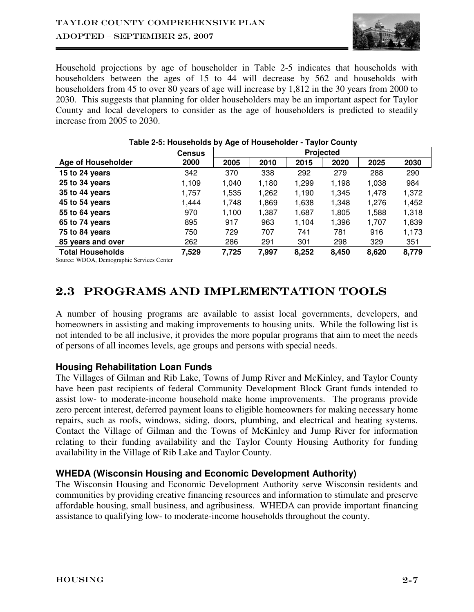

Household projections by age of householder in Table 2-5 indicates that households with householders between the ages of 15 to 44 will decrease by 562 and households with householders from 45 to over 80 years of age will increase by 1,812 in the 30 years from 2000 to 2030. This suggests that planning for older householders may be an important aspect for Taylor County and local developers to consider as the age of householders is predicted to steadily increase from 2005 to 2030.

|                         | <b>Census</b> | $\bullet$ -<br>Projected |       |       |       |       |       |  |
|-------------------------|---------------|--------------------------|-------|-------|-------|-------|-------|--|
| Age of Householder      | 2000          | 2005                     | 2010  | 2015  | 2020  | 2025  | 2030  |  |
| 15 to 24 years          | 342           | 370                      | 338   | 292   | 279   | 288   | 290   |  |
| 25 to 34 years          | 1,109         | 1,040                    | 1,180 | 1,299 | 1,198 | 1,038 | 984   |  |
| 35 to 44 years          | 1,757         | 1,535                    | 1,262 | 1,190 | 1,345 | 1,478 | 1,372 |  |
| 45 to 54 years          | 1,444         | 1,748                    | 1,869 | 1,638 | 1,348 | 1,276 | 1,452 |  |
| 55 to 64 years          | 970           | 1,100                    | 1,387 | 1,687 | 1,805 | 1,588 | 1,318 |  |
| 65 to 74 years          | 895           | 917                      | 963   | 1,104 | 1,396 | 1,707 | 1,839 |  |
| 75 to 84 years          | 750           | 729                      | 707   | 741   | 781   | 916   | 1,173 |  |
| 85 years and over       | 262           | 286                      | 291   | 301   | 298   | 329   | 351   |  |
| <b>Total Households</b> | 7,529         | 7,725                    | 7,997 | 8,252 | 8,450 | 8,620 | 8,779 |  |

#### **Table 2-5: Households by Age of Householder - Taylor County**

Source: WDOA, Demographic Services Center

# 2.3 PROGRAMS AND IMPLEMENTATION TOOLS

A number of housing programs are available to assist local governments, developers, and homeowners in assisting and making improvements to housing units. While the following list is not intended to be all inclusive, it provides the more popular programs that aim to meet the needs of persons of all incomes levels, age groups and persons with special needs.

# **Housing Rehabilitation Loan Funds**

The Villages of Gilman and Rib Lake, Towns of Jump River and McKinley, and Taylor County have been past recipients of federal Community Development Block Grant funds intended to assist low- to moderate-income household make home improvements. The programs provide zero percent interest, deferred payment loans to eligible homeowners for making necessary home repairs, such as roofs, windows, siding, doors, plumbing, and electrical and heating systems. Contact the Village of Gilman and the Towns of McKinley and Jump River for information relating to their funding availability and the Taylor County Housing Authority for funding availability in the Village of Rib Lake and Taylor County.

# **WHEDA (Wisconsin Housing and Economic Development Authority)**

The Wisconsin Housing and Economic Development Authority serve Wisconsin residents and communities by providing creative financing resources and information to stimulate and preserve affordable housing, small business, and agribusiness. WHEDA can provide important financing assistance to qualifying low- to moderate-income households throughout the county.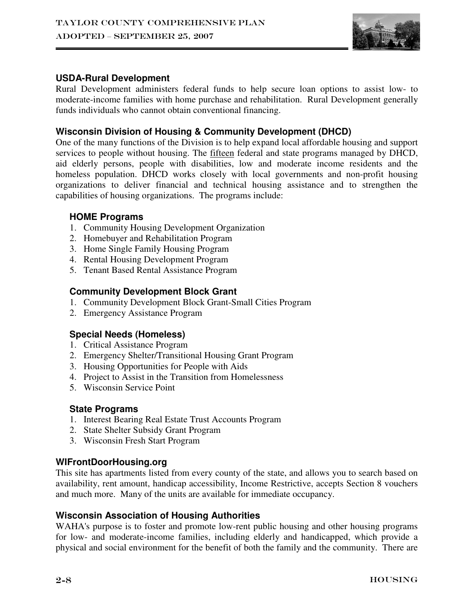

# **USDA-Rural Development**

Rural Development administers federal funds to help secure loan options to assist low- to moderate-income families with home purchase and rehabilitation. Rural Development generally funds individuals who cannot obtain conventional financing.

# **Wisconsin Division of Housing & Community Development (DHCD)**

One of the many functions of the Division is to help expand local affordable housing and support services to people without housing. The fifteen federal and state programs managed by DHCD, aid elderly persons, people with disabilities, low and moderate income residents and the homeless population. DHCD works closely with local governments and non-profit housing organizations to deliver financial and technical housing assistance and to strengthen the capabilities of housing organizations. The programs include:

### **HOME Programs**

- 1. Community Housing Development Organization
- 2. Homebuyer and Rehabilitation Program
- 3. Home Single Family Housing Program
- 4. Rental Housing Development Program
- 5. Tenant Based Rental Assistance Program

# **Community Development Block Grant**

- 1. Community Development Block Grant-Small Cities Program
- 2. Emergency Assistance Program

# **Special Needs (Homeless)**

- 1. Critical Assistance Program
- 2. Emergency Shelter/Transitional Housing Grant Program
- 3. Housing Opportunities for People with Aids
- 4. Project to Assist in the Transition from Homelessness
- 5. Wisconsin Service Point

# **State Programs**

- 1. Interest Bearing Real Estate Trust Accounts Program
- 2. State Shelter Subsidy Grant Program
- 3. Wisconsin Fresh Start Program

# **WIFrontDoorHousing.org**

This site has apartments listed from every county of the state, and allows you to search based on availability, rent amount, handicap accessibility, Income Restrictive, accepts Section 8 vouchers and much more. Many of the units are available for immediate occupancy.

# **Wisconsin Association of Housing Authorities**

WAHA's purpose is to foster and promote low-rent public housing and other housing programs for low- and moderate-income families, including elderly and handicapped, which provide a physical and social environment for the benefit of both the family and the community. There are